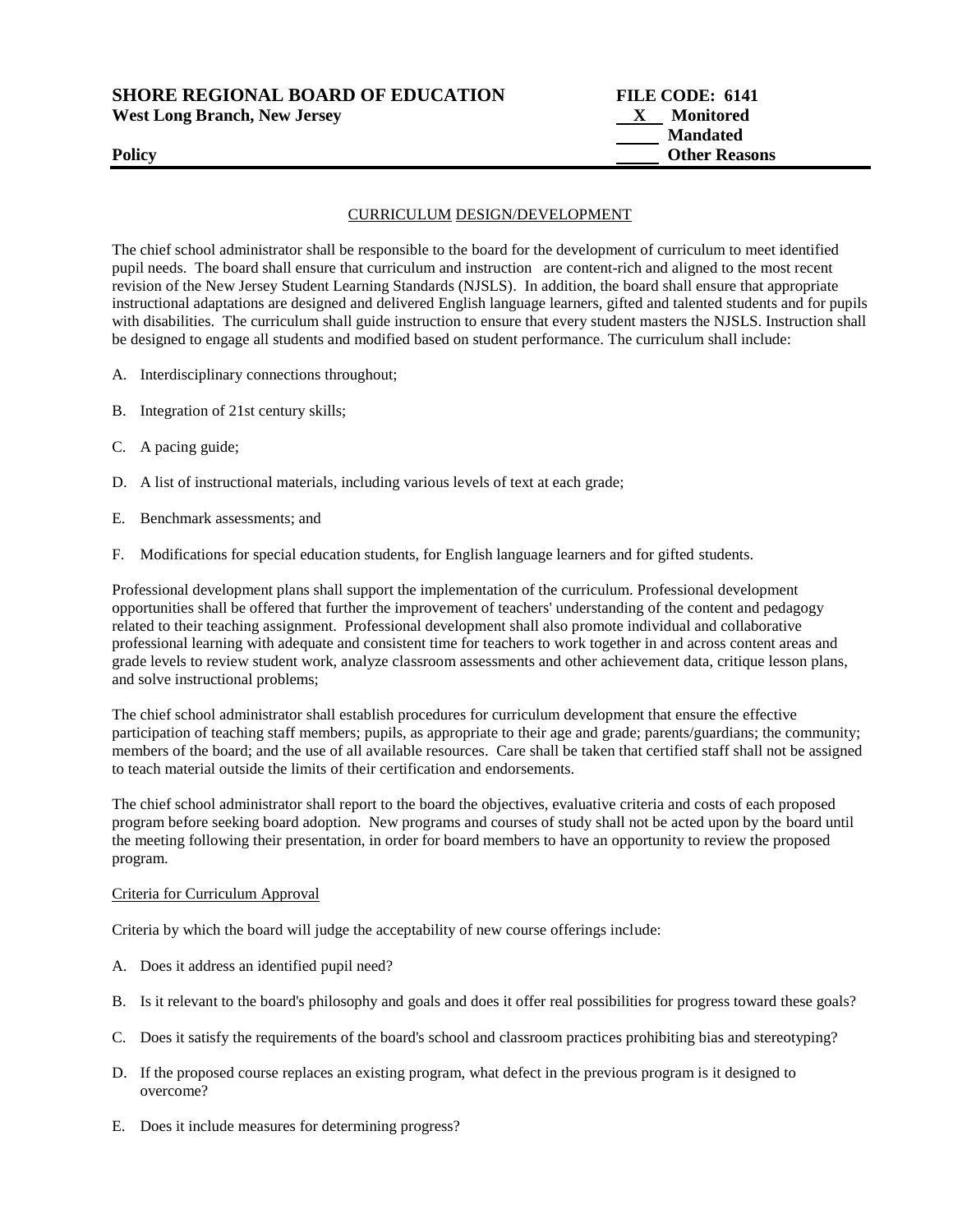**SHORE REGIONAL BOARD OF EDUCATION FILE CODE: 6141**  West Long Branch, New Jersey **X** Monitored

 **Mandated Policy Other Reasons** 

## CURRICULUM DESIGN/DEVELOPMENT

The chief school administrator shall be responsible to the board for the development of curriculum to meet identified pupil needs. The board shall ensure that curriculum and instruction are content-rich and aligned to the most recent revision of the New Jersey Student Learning Standards (NJSLS). In addition, the board shall ensure that appropriate instructional adaptations are designed and delivered English language learners, gifted and talented students and for pupils with disabilities. The curriculum shall guide instruction to ensure that every student masters the NJSLS. Instruction shall be designed to engage all students and modified based on student performance. The curriculum shall include:

- A. Interdisciplinary connections throughout;
- B. Integration of 21st century skills;
- C. A pacing guide;
- D. A list of instructional materials, including various levels of text at each grade;
- E. Benchmark assessments; and
- F. Modifications for special education students, for English language learners and for gifted students.

Professional development plans shall support the implementation of the curriculum. Professional development opportunities shall be offered that further the improvement of teachers' understanding of the content and pedagogy related to their teaching assignment. Professional development shall also promote individual and collaborative professional learning with adequate and consistent time for teachers to work together in and across content areas and grade levels to review student work, analyze classroom assessments and other achievement data, critique lesson plans, and solve instructional problems;

The chief school administrator shall establish procedures for curriculum development that ensure the effective participation of teaching staff members; pupils, as appropriate to their age and grade; parents/guardians; the community; members of the board; and the use of all available resources. Care shall be taken that certified staff shall not be assigned to teach material outside the limits of their certification and endorsements.

The chief school administrator shall report to the board the objectives, evaluative criteria and costs of each proposed program before seeking board adoption. New programs and courses of study shall not be acted upon by the board until the meeting following their presentation, in order for board members to have an opportunity to review the proposed program.

# Criteria for Curriculum Approval

Criteria by which the board will judge the acceptability of new course offerings include:

- A. Does it address an identified pupil need?
- B. Is it relevant to the board's philosophy and goals and does it offer real possibilities for progress toward these goals?
- C. Does it satisfy the requirements of the board's school and classroom practices prohibiting bias and stereotyping?
- D. If the proposed course replaces an existing program, what defect in the previous program is it designed to overcome?
- E. Does it include measures for determining progress?